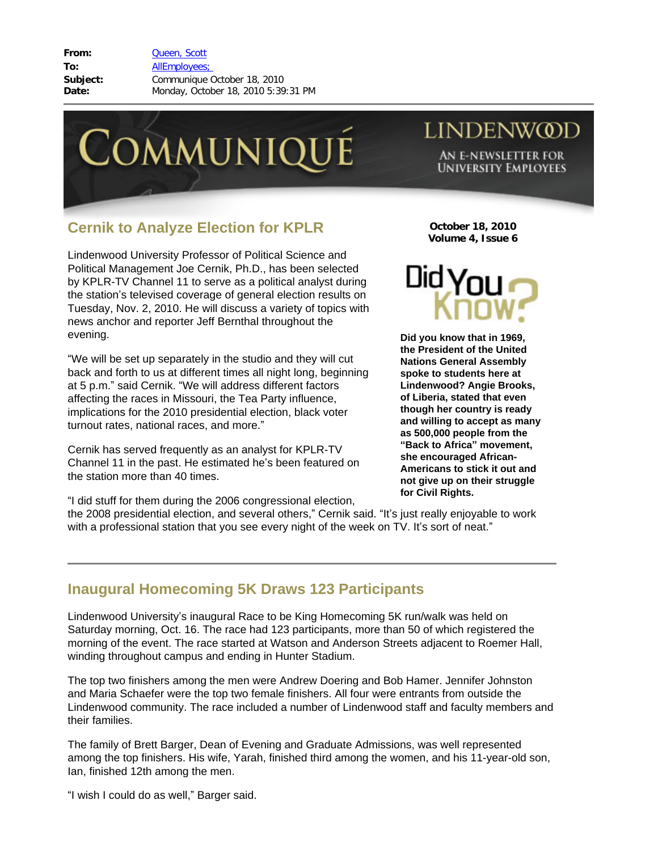**From:** [Queen, Scott](mailto:/O=LINDENWOOD UNIVERSITY/OU=LINDENWOOD/CN=RECIPIENTS/CN=SQUEEN) **To:** [AllEmployees;](mailto:/O=LINDENWOOD UNIVERSITY/OU=LINDENWOOD/CN=RECIPIENTS/CN=ALLEMPLOYEES)  **Subject:** Communique October 18, 2010 **Date:** Monday, October 18, 2010 5:39:31 PM



## **LINDENWOD**

AN E-NEWSLETTER FOR **UNIVERSITY EMPLOYEES** 

## **Cernik to Analyze Election for KPLR**

Lindenwood University Professor of Political Science and Political Management Joe Cernik, Ph.D., has been selected by KPLR-TV Channel 11 to serve as a political analyst during the station's televised coverage of general election results on Tuesday, Nov. 2, 2010. He will discuss a variety of topics with news anchor and reporter Jeff Bernthal throughout the evening.

"We will be set up separately in the studio and they will cut back and forth to us at different times all night long, beginning at 5 p.m." said Cernik. "We will address different factors affecting the races in Missouri, the Tea Party influence, implications for the 2010 presidential election, black voter turnout rates, national races, and more."

Cernik has served frequently as an analyst for KPLR-TV Channel 11 in the past. He estimated he's been featured on the station more than 40 times.

"I did stuff for them during the 2006 congressional election,

the 2008 presidential election, and several others," Cernik said. "It's just really enjoyable to work with a professional station that you see every night of the week on TV. It's sort of neat."



**October 18, 2010 Volume 4, Issue 6**

**Did you know that in 1969, the President of the United Nations General Assembly spoke to students here at Lindenwood? Angie Brooks, of Liberia, stated that even though her country is ready and willing to accept as many as 500,000 people from the "Back to Africa" movement, she encouraged African-Americans to stick it out and not give up on their struggle for Civil Rights.** 

## **Inaugural Homecoming 5K Draws 123 Participants**

Lindenwood University's inaugural Race to be King Homecoming 5K run/walk was held on Saturday morning, Oct. 16. The race had 123 participants, more than 50 of which registered the morning of the event. The race started at Watson and Anderson Streets adjacent to Roemer Hall, winding throughout campus and ending in Hunter Stadium.

The top two finishers among the men were Andrew Doering and Bob Hamer. Jennifer Johnston and Maria Schaefer were the top two female finishers. All four were entrants from outside the Lindenwood community. The race included a number of Lindenwood staff and faculty members and their families.

The family of Brett Barger, Dean of Evening and Graduate Admissions, was well represented among the top finishers. His wife, Yarah, finished third among the women, and his 11-year-old son, Ian, finished 12th among the men.

"I wish I could do as well," Barger said.